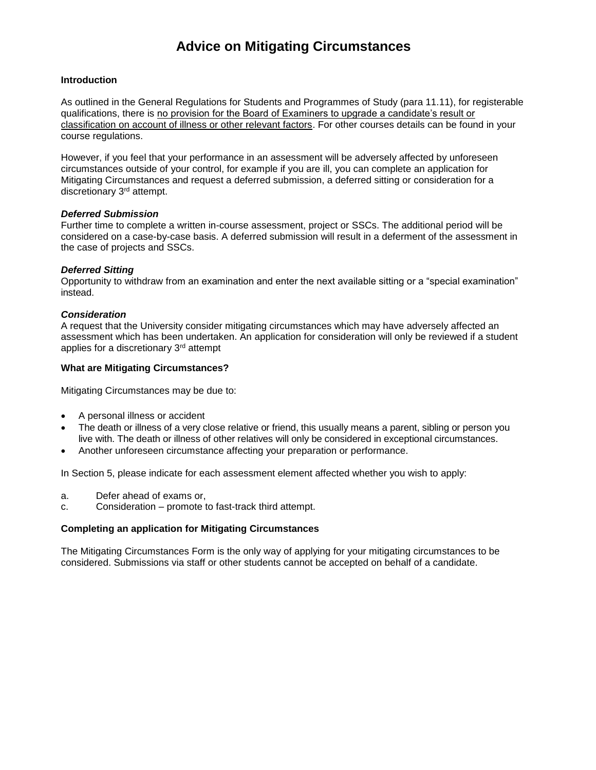# **Advice on Mitigating Circumstances**

## **Introduction**

As outlined in the General Regulations for Students and Programmes of Study (para 11.11), for registerable qualifications, there is no provision for the Board of Examiners to upgrade a candidate's result or classification on account of illness or other relevant factors. For other courses details can be found in your course regulations.

However, if you feel that your performance in an assessment will be adversely affected by unforeseen circumstances outside of your control, for example if you are ill, you can complete an application for Mitigating Circumstances and request a deferred submission, a deferred sitting or consideration for a discretionary 3<sup>rd</sup> attempt.

# *Deferred Submission*

Further time to complete a written in-course assessment, project or SSCs. The additional period will be considered on a case-by-case basis. A deferred submission will result in a deferment of the assessment in the case of projects and SSCs.

# *Deferred Sitting*

Opportunity to withdraw from an examination and enter the next available sitting or a "special examination" instead.

## *Consideration*

A request that the University consider mitigating circumstances which may have adversely affected an assessment which has been undertaken. An application for consideration will only be reviewed if a student applies for a discretionary 3<sup>rd</sup> attempt

## **What are Mitigating Circumstances?**

Mitigating Circumstances may be due to:

- A personal illness or accident
- The death or illness of a very close relative or friend, this usually means a parent, sibling or person you live with. The death or illness of other relatives will only be considered in exceptional circumstances.
- Another unforeseen circumstance affecting your preparation or performance.

In Section 5, please indicate for each assessment element affected whether you wish to apply:

- a. Defer ahead of exams or,
- c. Consideration promote to fast-track third attempt.

## **Completing an application for Mitigating Circumstances**

The Mitigating Circumstances Form is the only way of applying for your mitigating circumstances to be considered. Submissions via staff or other students cannot be accepted on behalf of a candidate.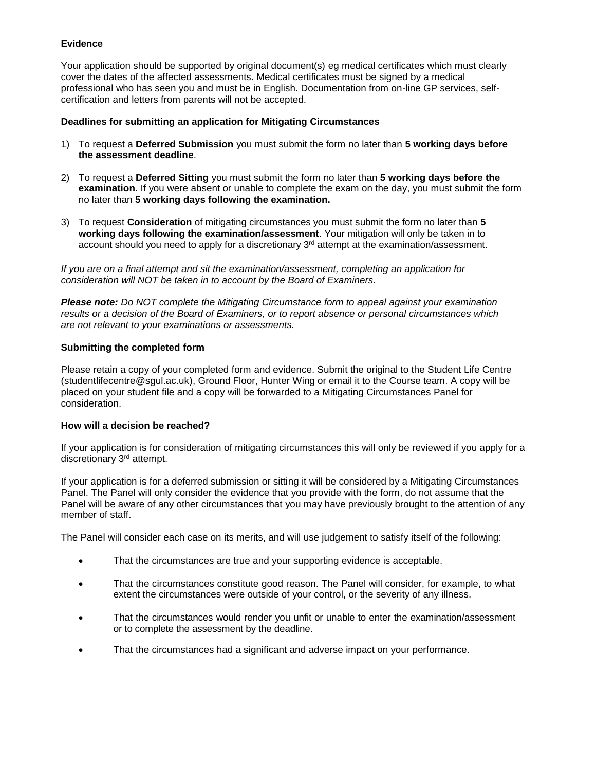# **Evidence**

Your application should be supported by original document(s) eg medical certificates which must clearly cover the dates of the affected assessments. Medical certificates must be signed by a medical professional who has seen you and must be in English. Documentation from on-line GP services, selfcertification and letters from parents will not be accepted.

# **Deadlines for submitting an application for Mitigating Circumstances**

- 1) To request a **Deferred Submission** you must submit the form no later than **5 working days before the assessment deadline**.
- 2) To request a **Deferred Sitting** you must submit the form no later than **5 working days before the examination**. If you were absent or unable to complete the exam on the day, you must submit the form no later than **5 working days following the examination.**
- 3) To request **Consideration** of mitigating circumstances you must submit the form no later than **5 working days following the examination/assessment**. Your mitigation will only be taken in to account should you need to apply for a discretionary 3<sup>rd</sup> attempt at the examination/assessment.

*If you are on a final attempt and sit the examination/assessment, completing an application for consideration will NOT be taken in to account by the Board of Examiners.*

*Please note: Do NOT complete the Mitigating Circumstance form to appeal against your examination results or a decision of the Board of Examiners, or to report absence or personal circumstances which are not relevant to your examinations or assessments.*

# **Submitting the completed form**

Please retain a copy of your completed form and evidence. Submit the original to the Student Life Centre (studentlifecentre@sgul.ac.uk), Ground Floor, Hunter Wing or email it to the Course team. A copy will be placed on your student file and a copy will be forwarded to a Mitigating Circumstances Panel for consideration.

## **How will a decision be reached?**

If your application is for consideration of mitigating circumstances this will only be reviewed if you apply for a discretionary 3<sup>rd</sup> attempt.

If your application is for a deferred submission or sitting it will be considered by a Mitigating Circumstances Panel. The Panel will only consider the evidence that you provide with the form, do not assume that the Panel will be aware of any other circumstances that you may have previously brought to the attention of any member of staff.

The Panel will consider each case on its merits, and will use judgement to satisfy itself of the following:

- That the circumstances are true and your supporting evidence is acceptable.
- That the circumstances constitute good reason. The Panel will consider, for example, to what extent the circumstances were outside of your control, or the severity of any illness.
- That the circumstances would render you unfit or unable to enter the examination/assessment or to complete the assessment by the deadline.
- That the circumstances had a significant and adverse impact on your performance.